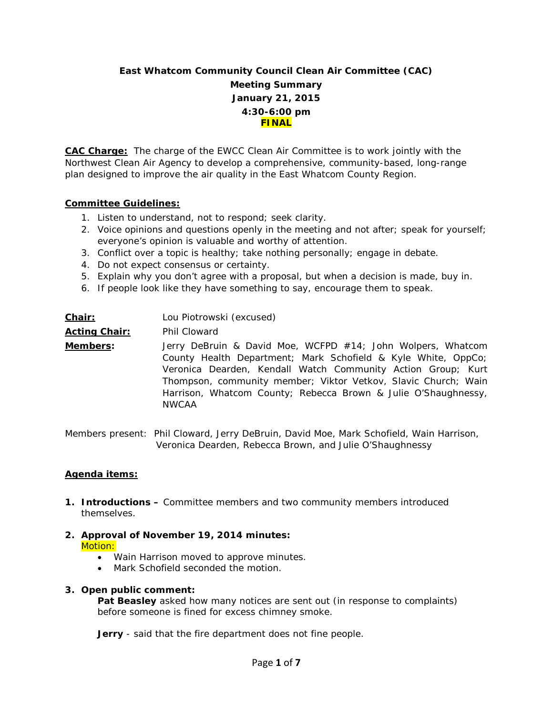# **East Whatcom Community Council Clean Air Committee (CAC) Meeting Summary January 21, 2015 4:30-6:00 pm FINAL**

**CAC Charge:** The charge of the EWCC Clean Air Committee is to work jointly with the Northwest Clean Air Agency to develop a comprehensive, community-based, long-range plan designed to improve the air quality in the East Whatcom County Region.

#### **Committee Guidelines:**

- 1. Listen to understand, not to respond; seek clarity.
- 2. Voice opinions and questions openly in the meeting and not after; speak for yourself; everyone's opinion is valuable and worthy of attention.
- 3. Conflict over a topic is healthy; take nothing personally; engage in debate.
- 4. Do not expect consensus or certainty.
- 5. Explain why you don't agree with a proposal, but when a decision is made, buy in.
- 6. If people look like they have something to say, encourage them to speak.

| <u>Chair:</u>        | Lou Piotrowski (excused)                                                                                                                                                                                                                                                                                                                         |
|----------------------|--------------------------------------------------------------------------------------------------------------------------------------------------------------------------------------------------------------------------------------------------------------------------------------------------------------------------------------------------|
| <b>Acting Chair:</b> | Phil Cloward                                                                                                                                                                                                                                                                                                                                     |
| Members:             | Jerry DeBruin & David Moe, WCFPD #14; John Wolpers, Whatcom<br>County Health Department; Mark Schofield & Kyle White, OppCo;<br>Veronica Dearden, Kendall Watch Community Action Group; Kurt<br>Thompson, community member; Viktor Vetkov, Slavic Church; Wain<br>Harrison, Whatcom County; Rebecca Brown & Julie O'Shaughnessy,<br><b>NWCAA</b> |

Members present: Phil Cloward, Jerry DeBruin, David Moe, Mark Schofield, Wain Harrison, Veronica Dearden, Rebecca Brown, and Julie O'Shaughnessy

# **Agenda items:**

**1. Introductions –** Committee members and two community members introduced themselves.

# **2. Approval of November 19, 2014 minutes:**

- Motion:
	- Wain Harrison moved to approve minutes.
	- Mark Schofield seconded the motion.

#### **3. Open public comment:**

**Pat Beasley** asked how many notices are sent out (in response to complaints) before someone is fined for excess chimney smoke.

**Jerry** - said that the fire department does not fine people.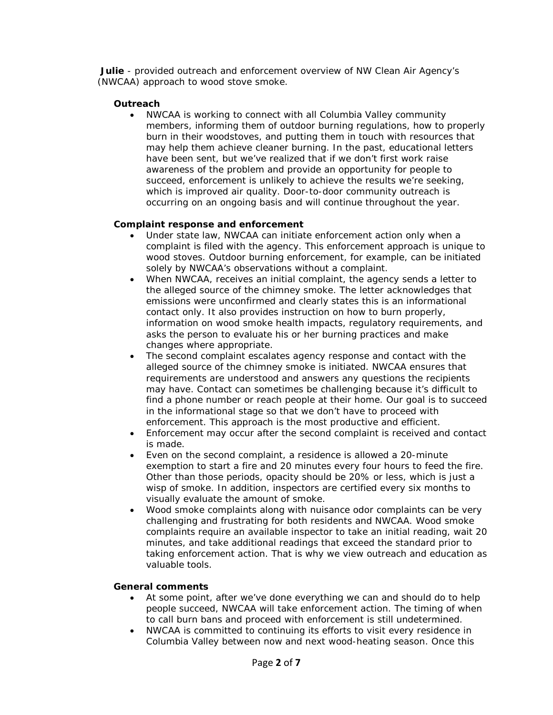**Julie** - provided outreach and enforcement overview of NW Clean Air Agency's (NWCAA) approach to wood stove smoke.

# **Outreach**

• NWCAA is working to connect with all Columbia Valley community members, informing them of outdoor burning regulations, how to properly burn in their woodstoves, and putting them in touch with resources that may help them achieve cleaner burning. In the past, educational letters have been sent, but we've realized that if we don't first work raise awareness of the problem and provide an opportunity for people to succeed, enforcement is unlikely to achieve the results we're seeking, which is improved air quality. Door-to-door community outreach is occurring on an ongoing basis and will continue throughout the year.

#### **Complaint response and enforcement**

- Under state law, NWCAA can initiate enforcement action only when a complaint is filed with the agency. This enforcement approach is unique to wood stoves. Outdoor burning enforcement, for example, can be initiated solely by NWCAA's observations without a complaint.
- When NWCAA, receives an initial complaint, the agency sends a letter to the alleged source of the chimney smoke. The letter acknowledges that emissions were unconfirmed and clearly states this is an informational contact only. It also provides instruction on how to burn properly, information on wood smoke health impacts, regulatory requirements, and asks the person to evaluate his or her burning practices and make changes where appropriate.
- The second complaint escalates agency response and contact with the alleged source of the chimney smoke is initiated. NWCAA ensures that requirements are understood and answers any questions the recipients may have. Contact can sometimes be challenging because it's difficult to find a phone number or reach people at their home. Our goal is to succeed in the informational stage so that we don't have to proceed with enforcement. This approach is the most productive and efficient.
- Enforcement may occur after the second complaint is received and contact is made.
- Even on the second complaint, a residence is allowed a 20-minute exemption to start a fire and 20 minutes every four hours to feed the fire. Other than those periods, opacity should be 20% or less, which is just a wisp of smoke. In addition, inspectors are certified every six months to visually evaluate the amount of smoke.
- Wood smoke complaints along with nuisance odor complaints can be very challenging and frustrating for both residents and NWCAA. Wood smoke complaints require an available inspector to take an initial reading, wait 20 minutes, and take additional readings that exceed the standard prior to taking enforcement action. That is why we view outreach and education as valuable tools.

# **General comments**

- At some point, after we've done everything we can and should do to help people succeed, NWCAA will take enforcement action. The timing of when to call burn bans and proceed with enforcement is still undetermined.
- NWCAA is committed to continuing its efforts to visit every residence in Columbia Valley between now and next wood-heating season. Once this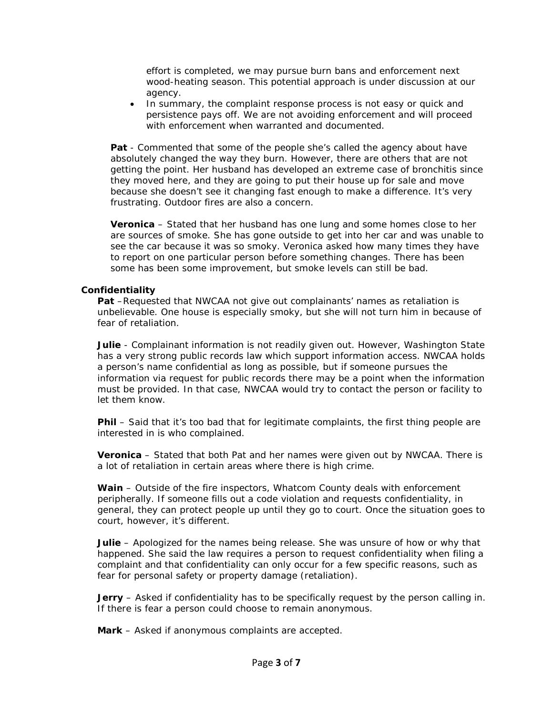effort is completed, we may pursue burn bans and enforcement next wood-heating season. This potential approach is under discussion at our agency.

• In summary, the complaint response process is not easy or quick and persistence pays off. We are not avoiding enforcement and will proceed with enforcement when warranted and documented.

**Pat** - Commented that some of the people she's called the agency about have absolutely changed the way they burn. However, there are others that are not getting the point. Her husband has developed an extreme case of bronchitis since they moved here, and they are going to put their house up for sale and move because she doesn't see it changing fast enough to make a difference. It's very frustrating. Outdoor fires are also a concern.

**Veronica** – Stated that her husband has one lung and some homes close to her are sources of smoke. She has gone outside to get into her car and was unable to see the car because it was so smoky. Veronica asked how many times they have to report on one particular person before something changes. There has been some has been some improvement, but smoke levels can still be bad.

#### **Confidentiality**

**Pat** –Requested that NWCAA not give out complainants' names as retaliation is unbelievable. One house is especially smoky, but she will not turn him in because of fear of retaliation.

**Julie** - Complainant information is not readily given out. However, Washington State has a very strong public records law which support information access. NWCAA holds a person's name confidential as long as possible, but if someone pursues the information via request for public records there may be a point when the information must be provided. In that case, NWCAA would try to contact the person or facility to let them know.

**Phil** – Said that it's too bad that for legitimate complaints, the first thing people are interested in is who complained.

**Veronica** – Stated that both Pat and her names were given out by NWCAA. There is a lot of retaliation in certain areas where there is high crime.

**Wain** – Outside of the fire inspectors, Whatcom County deals with enforcement peripherally. If someone fills out a code violation and requests confidentiality, in general, they can protect people up until they go to court. Once the situation goes to court, however, it's different.

**Julie** – Apologized for the names being release. She was unsure of how or why that happened. She said the law requires a person to request confidentiality when filing a complaint and that confidentiality can only occur for a few specific reasons, such as fear for personal safety or property damage (retaliation).

**Jerry** – Asked if confidentiality has to be specifically request by the person calling in. If there is fear a person could choose to remain anonymous.

**Mark** – Asked if anonymous complaints are accepted.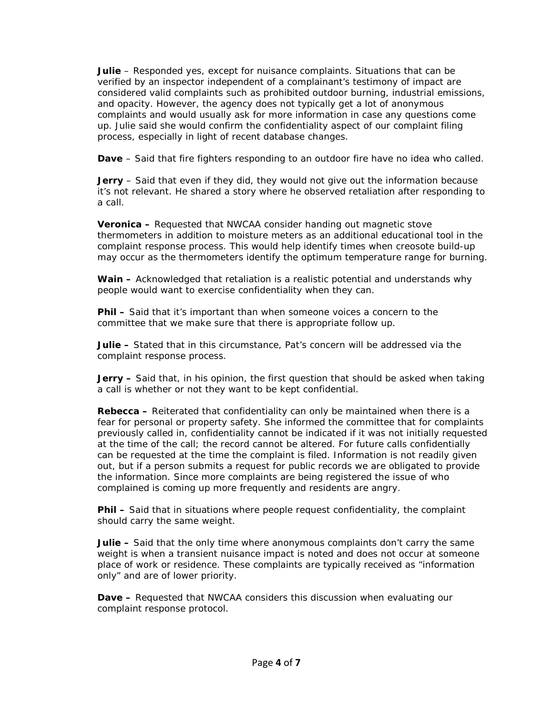**Julie** – Responded yes, except for nuisance complaints. Situations that can be verified by an inspector independent of a complainant's testimony of impact are considered valid complaints such as prohibited outdoor burning, industrial emissions, and opacity. However, the agency does not typically get a lot of anonymous complaints and would usually ask for more information in case any questions come up. Julie said she would confirm the confidentiality aspect of our complaint filing process, especially in light of recent database changes.

**Dave** – Said that fire fighters responding to an outdoor fire have no idea who called.

**Jerry** – Said that even if they did, they would not give out the information because it's not relevant. He shared a story where he observed retaliation after responding to a call.

**Veronica –** Requested that NWCAA consider handing out magnetic stove thermometers in addition to moisture meters as an additional educational tool in the complaint response process. This would help identify times when creosote build-up may occur as the thermometers identify the optimum temperature range for burning.

**Wain –** Acknowledged that retaliation is a realistic potential and understands why people would want to exercise confidentiality when they can.

**Phil –** Said that it's important than when someone voices a concern to the committee that we make sure that there is appropriate follow up.

**Julie –** Stated that in this circumstance, Pat's concern will be addressed via the complaint response process.

**Jerry –** Said that, in his opinion, the first question that should be asked when taking a call is whether or not they want to be kept confidential.

**Rebecca –** Reiterated that confidentiality can only be maintained when there is a fear for personal or property safety. She informed the committee that for complaints previously called in, confidentiality cannot be indicated if it was not initially requested at the time of the call; the record cannot be altered. For future calls confidentially can be requested at the time the complaint is filed. Information is not readily given out, but if a person submits a request for public records we are obligated to provide the information. Since more complaints are being registered the issue of who complained is coming up more frequently and residents are angry.

**Phil –** Said that in situations where people request confidentiality, the complaint should carry the same weight.

**Julie –** Said that the only time where anonymous complaints don't carry the same weight is when a transient nuisance impact is noted and does not occur at someone place of work or residence. These complaints are typically received as "information only" and are of lower priority.

**Dave –** Requested that NWCAA considers this discussion when evaluating our complaint response protocol.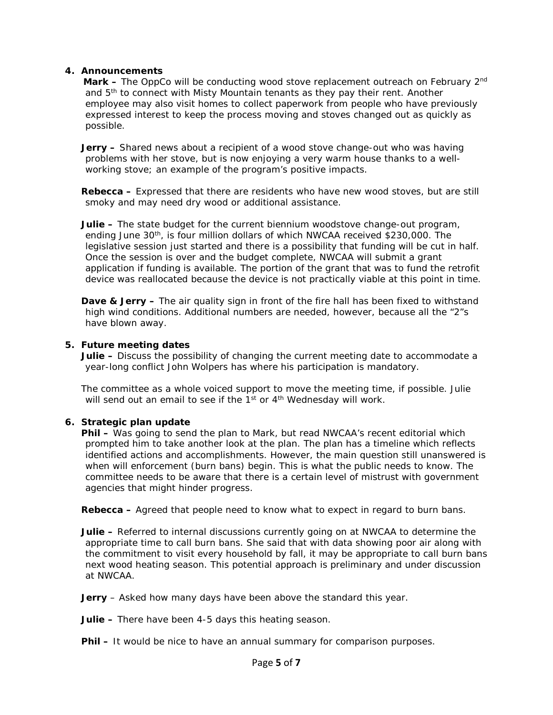#### **4. Announcements**

**Mark –** The OppCo will be conducting wood stove replacement outreach on February 2<sup>nd</sup> and 5th to connect with Misty Mountain tenants as they pay their rent. Another employee may also visit homes to collect paperwork from people who have previously expressed interest to keep the process moving and stoves changed out as quickly as possible.

**Jerry –** Shared news about a recipient of a wood stove change-out who was having problems with her stove, but is now enjoying a very warm house thanks to a wellworking stove; an example of the program's positive impacts.

**Rebecca –** Expressed that there are residents who have new wood stoves, but are still smoky and may need dry wood or additional assistance.

**Julie –** The state budget for the current biennium woodstove change-out program, ending June 30th, is four million dollars of which NWCAA received \$230,000. The legislative session just started and there is a possibility that funding will be cut in half. Once the session is over and the budget complete, NWCAA will submit a grant application if funding is available. The portion of the grant that was to fund the retrofit device was reallocated because the device is not practically viable at this point in time.

**Dave & Jerry –** The air quality sign in front of the fire hall has been fixed to withstand high wind conditions. Additional numbers are needed, however, because all the "2"s have blown away.

#### **5. Future meeting dates**

**Julie –** Discuss the possibility of changing the current meeting date to accommodate a year-long conflict John Wolpers has where his participation is mandatory.

The committee as a whole voiced support to move the meeting time, if possible. Julie will send out an email to see if the 1<sup>st</sup> or 4<sup>th</sup> Wednesday will work.

#### **6. Strategic plan update**

**Phil –** Was going to send the plan to Mark, but read NWCAA's recent editorial which prompted him to take another look at the plan. The plan has a timeline which reflects identified actions and accomplishments. However, the main question still unanswered is when will enforcement (burn bans) begin. This is what the public needs to know. The committee needs to be aware that there is a certain level of mistrust with government agencies that might hinder progress.

**Rebecca –** Agreed that people need to know what to expect in regard to burn bans.

**Julie –** Referred to internal discussions currently going on at NWCAA to determine the appropriate time to call burn bans. She said that with data showing poor air along with the commitment to visit every household by fall, it may be appropriate to call burn bans next wood heating season. This potential approach is preliminary and under discussion at NWCAA.

**Jerry** – Asked how many days have been above the standard this year.

**Julie –** There have been 4-5 days this heating season.

**Phil –** It would be nice to have an annual summary for comparison purposes.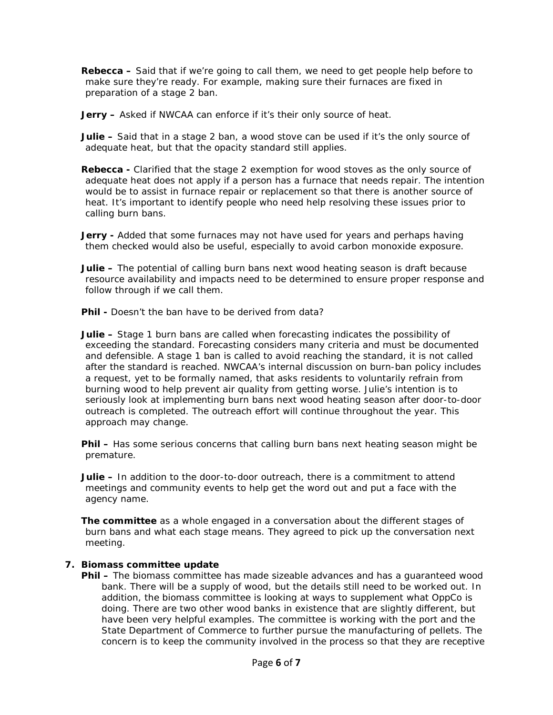**Rebecca –** Said that if we're going to call them, we need to get people help before to make sure they're ready. For example, making sure their furnaces are fixed in preparation of a stage 2 ban.

**Jerry –** Asked if NWCAA can enforce if it's their only source of heat.

**Julie –** Said that in a stage 2 ban, a wood stove can be used if it's the only source of adequate heat, but that the opacity standard still applies.

**Rebecca -** Clarified that the stage 2 exemption for wood stoves as the only source of adequate heat does not apply if a person has a furnace that needs repair. The intention would be to assist in furnace repair or replacement so that there is another source of heat. It's important to identify people who need help resolving these issues prior to calling burn bans.

**Jerry -** Added that some furnaces may not have used for years and perhaps having them checked would also be useful, especially to avoid carbon monoxide exposure.

**Julie –** The potential of calling burn bans next wood heating season is draft because resource availability and impacts need to be determined to ensure proper response and follow through if we call them.

**Phil -** Doesn't the ban have to be derived from data?

**Julie –** Stage 1 burn bans are called when forecasting indicates the possibility of exceeding the standard. Forecasting considers many criteria and must be documented and defensible. A stage 1 ban is called to avoid reaching the standard, it is not called after the standard is reached. NWCAA's internal discussion on burn-ban policy includes a request, yet to be formally named, that asks residents to voluntarily refrain from burning wood to help prevent air quality from getting worse. Julie's intention is to seriously look at implementing burn bans next wood heating season after door-to-door outreach is completed. The outreach effort will continue throughout the year. This approach may change.

**Phil –** Has some serious concerns that calling burn bans next heating season might be premature.

**Julie –** In addition to the door-to-door outreach, there is a commitment to attend meetings and community events to help get the word out and put a face with the agency name.

**The committee** as a whole engaged in a conversation about the different stages of burn bans and what each stage means. They agreed to pick up the conversation next meeting.

#### **7. Biomass committee update**

**Phil –** The biomass committee has made sizeable advances and has a guaranteed wood bank. There will be a supply of wood, but the details still need to be worked out. In addition, the biomass committee is looking at ways to supplement what OppCo is doing. There are two other wood banks in existence that are slightly different, but have been very helpful examples. The committee is working with the port and the State Department of Commerce to further pursue the manufacturing of pellets. The concern is to keep the community involved in the process so that they are receptive